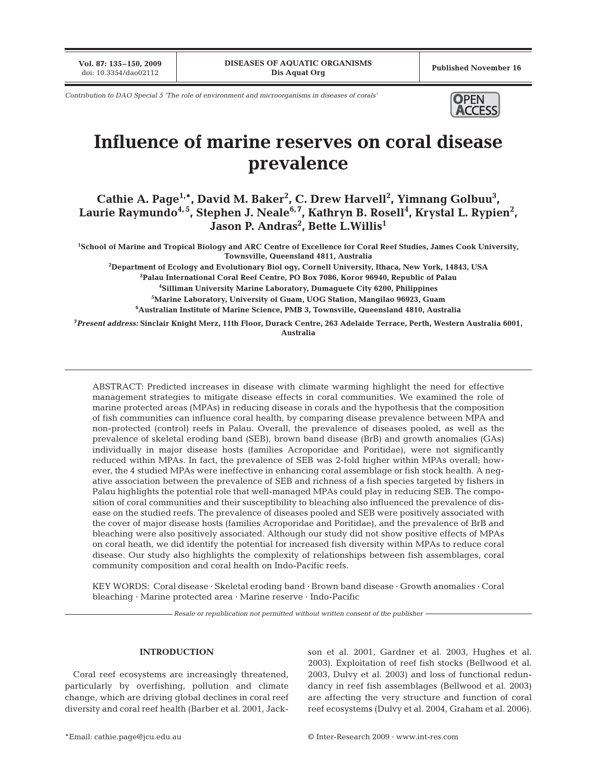**Vol. 87: 135–150, 2009**

*Contribution to DAO Special 5 'The role of environment and microorganisms in diseases of corals'* **OPEN** 



# **Influence of marine reserves on coral disease prevalence**

**Cathie A. Page1,\*, David M. Baker2 , C. Drew Harvell2 , Yimnang Golbuu3 ,** Laurie Raymundo<sup>4,5</sup>, Stephen J. Neale<sup>6,7</sup>, Kathryn B. Rosell<sup>4</sup>, Krystal L. Rypien<sup>2</sup>, **Jason P. Andras2 , Bette L.Willis1**

**1 School of Marine and Tropical Biology and ARC Centre of Excellence for Coral Reef Studies, James Cook University, Townsville, Queensland 4811, Australia**

**2 Department of Ecology and Evolutionary Biol ogy, Cornell University, Ithaca, New York, 14843, USA** <sup>3</sup> Palau International Coral Reef Centre, PO Box 7086, Koror 96940, Republic of Palau<br><sup>4</sup>Silliman University Marine Laboratory, Dumaguete City 6200, Philippines **Silliman University Marine Laboratory, Dumaguete City 6200, Philippines 5 Marine Laboratory, University of Guam, UOG Station, Mangilao 96923, Guam 6 Australian Institute of Marine Science, PMB 3, Townsville, Queensland 4810, Australia** 

**7** *Present address:* **Sinclair Knight Merz, 11th Floor, Durack Centre, 263 Adelaide Terrace, Perth, Western Australia 6001, Australia**

ABSTRACT: Predicted increases in disease with climate warming highlight the need for effective management strategies to mitigate disease effects in coral communities. We examined the role of marine protected areas (MPAs) in reducing disease in corals and the hypothesis that the composition of fish communities can influence coral health, by comparing disease prevalence between MPA and non-protected (control) reefs in Palau. Overall, the prevalence of diseases pooled, as well as the prevalence of skeletal eroding band (SEB), brown band disease (BrB) and growth anomalies (GAs) individually in major disease hosts (families Acroporidae and Poritidae), were not significantly reduced within MPAs. In fact, the prevalence of SEB was 2-fold higher within MPAs overall; however, the 4 studied MPAs were ineffective in enhancing coral assemblage or fish stock health. A negative association between the prevalence of SEB and richness of a fish species targeted by fishers in Palau highlights the potential role that well-managed MPAs could play in reducing SEB. The composition of coral communities and their susceptibility to bleaching also influenced the prevalence of disease on the studied reefs. The prevalence of diseases pooled and SEB were positively associated with the cover of major disease hosts (families Acroporidae and Poritidae), and the prevalence of BrB and bleaching were also positively associated. Although our study did not show positive effects of MPAs on coral heath, we did identify the potential for increased fish diversity within MPAs to reduce coral disease. Our study also highlights the complexity of relationships between fish assemblages, coral community composition and coral health on Indo-Pacific reefs.

KEY WORDS: Coral disease · Skeletal eroding band · Brown band disease · Growth anomalies · Coral bleaching · Marine protected area · Marine reserve · Indo-Pacific

*Resale or republication not permitted without written consent of the publisher*

# **INTRODUCTION**

Coral reef ecosystems are increasingly threatened, particularly by overfishing, pollution and climate change, which are driving global declines in coral reef diversity and coral reef health (Barber et al. 2001, Jackson et al. 2001, Gardner et al. 2003, Hughes et al. 2003). Exploitation of reef fish stocks (Bellwood et al. 2003, Dulvy et al. 2003) and loss of functional redundancy in reef fish assemblages (Bellwood et al. 2003) are affecting the very structure and function of coral reef ecosystems (Dulvy et al. 2004, Graham et al. 2006).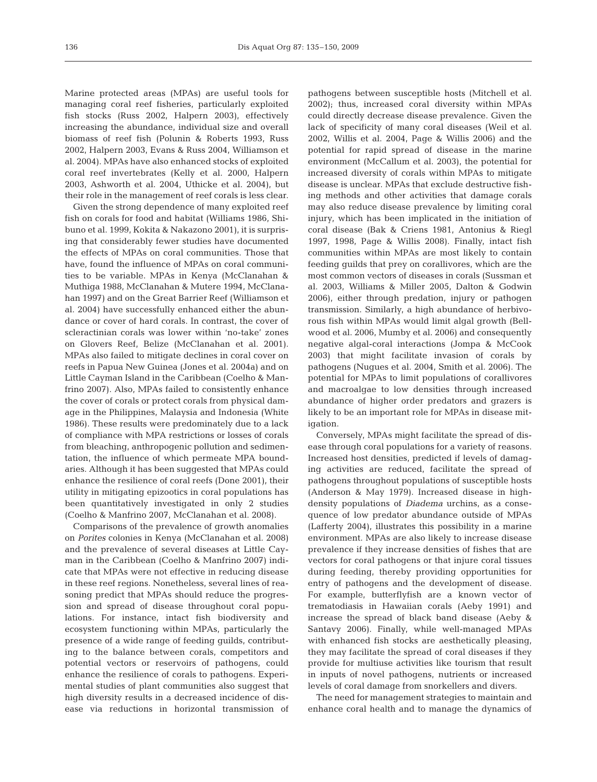Marine protected areas (MPAs) are useful tools for managing coral reef fisheries, particularly exploited fish stocks (Russ 2002, Halpern 2003), effectively increasing the abundance, individual size and overall biomass of reef fish (Polunin & Roberts 1993, Russ 2002, Halpern 2003, Evans & Russ 2004, Williamson et al. 2004). MPAs have also enhanced stocks of exploited coral reef invertebrates (Kelly et al. 2000, Halpern 2003, Ashworth et al. 2004, Uthicke et al. 2004), but their role in the management of reef corals is less clear.

Given the strong dependence of many exploited reef fish on corals for food and habitat (Williams 1986, Shibuno et al. 1999, Kokita & Nakazono 2001), it is surprising that considerably fewer studies have documented the effects of MPAs on coral communities. Those that have, found the influence of MPAs on coral communities to be variable. MPAs in Kenya (McClanahan & Muthiga 1988, McClanahan & Mutere 1994, McClanahan 1997) and on the Great Barrier Reef (Williamson et al. 2004) have successfully enhanced either the abundance or cover of hard corals. In contrast, the cover of scleractinian corals was lower within 'no-take' zones on Glovers Reef, Belize (McClanahan et al. 2001). MPAs also failed to mitigate declines in coral cover on reefs in Papua New Guinea (Jones et al. 2004a) and on Little Cayman Island in the Caribbean (Coelho & Manfrino 2007). Also, MPAs failed to consistently enhance the cover of corals or protect corals from physical damage in the Philippines, Malaysia and Indonesia (White 1986). These results were predominately due to a lack of compliance with MPA restrictions or losses of corals from bleaching, anthropogenic pollution and sedimentation, the influence of which permeate MPA boundaries. Although it has been suggested that MPAs could enhance the resilience of coral reefs (Done 2001), their utility in mitigating epizootics in coral populations has been quantitatively investigated in only 2 studies (Coelho & Manfrino 2007, McClanahan et al. 2008).

Comparisons of the prevalence of growth anomalies on *Porites* colonies in Kenya (McClanahan et al. 2008) and the prevalence of several diseases at Little Cayman in the Caribbean (Coelho & Manfrino 2007) indicate that MPAs were not effective in reducing disease in these reef regions. Nonetheless, several lines of reasoning predict that MPAs should reduce the progression and spread of disease throughout coral populations. For instance, intact fish biodiversity and ecosystem functioning within MPAs, particularly the presence of a wide range of feeding guilds, contributing to the balance between corals, competitors and potential vectors or reservoirs of pathogens, could enhance the resilience of corals to pathogens. Experimental studies of plant communities also suggest that high diversity results in a decreased incidence of disease via reductions in horizontal transmission of pathogens between susceptible hosts (Mitchell et al. 2002); thus, increased coral diversity within MPAs could directly decrease disease prevalence. Given the lack of specificity of many coral diseases (Weil et al. 2002, Willis et al. 2004, Page & Willis 2006) and the potential for rapid spread of disease in the marine environment (McCallum et al. 2003), the potential for increased diversity of corals within MPAs to mitigate disease is unclear. MPAs that exclude destructive fishing methods and other activities that damage corals may also reduce disease prevalence by limiting coral injury, which has been implicated in the initiation of coral disease (Bak & Criens 1981, Antonius & Riegl 1997, 1998, Page & Willis 2008). Finally, intact fish communities within MPAs are most likely to contain feeding guilds that prey on corallivores, which are the most common vectors of diseases in corals (Sussman et al. 2003, Williams & Miller 2005, Dalton & Godwin 2006), either through predation, injury or pathogen transmission. Similarly, a high abundance of herbivorous fish within MPAs would limit algal growth (Bellwood et al. 2006, Mumby et al. 2006) and consequently negative algal-coral interactions (Jompa & McCook 2003) that might facilitate invasion of corals by pathogens (Nugues et al. 2004, Smith et al. 2006). The potential for MPAs to limit populations of corallivores and macroalgae to low densities through increased abundance of higher order predators and grazers is likely to be an important role for MPAs in disease mitigation.

Conversely, MPAs might facilitate the spread of disease through coral populations for a variety of reasons. Increased host densities, predicted if levels of damaging activities are reduced, facilitate the spread of pathogens throughout populations of susceptible hosts (Anderson & May 1979). Increased disease in highdensity populations of *Diadema* urchins, as a consequence of low predator abundance outside of MPAs (Lafferty 2004), illustrates this possibility in a marine environment. MPAs are also likely to increase disease prevalence if they increase densities of fishes that are vectors for coral pathogens or that injure coral tissues during feeding, thereby providing opportunities for entry of pathogens and the development of disease. For example, butterflyfish are a known vector of trematodiasis in Hawaiian corals (Aeby 1991) and increase the spread of black band disease (Aeby & Santavy 2006). Finally, while well-managed MPAs with enhanced fish stocks are aesthetically pleasing, they may facilitate the spread of coral diseases if they provide for multiuse activities like tourism that result in inputs of novel pathogens, nutrients or increased levels of coral damage from snorkellers and divers.

The need for management strategies to maintain and enhance coral health and to manage the dynamics of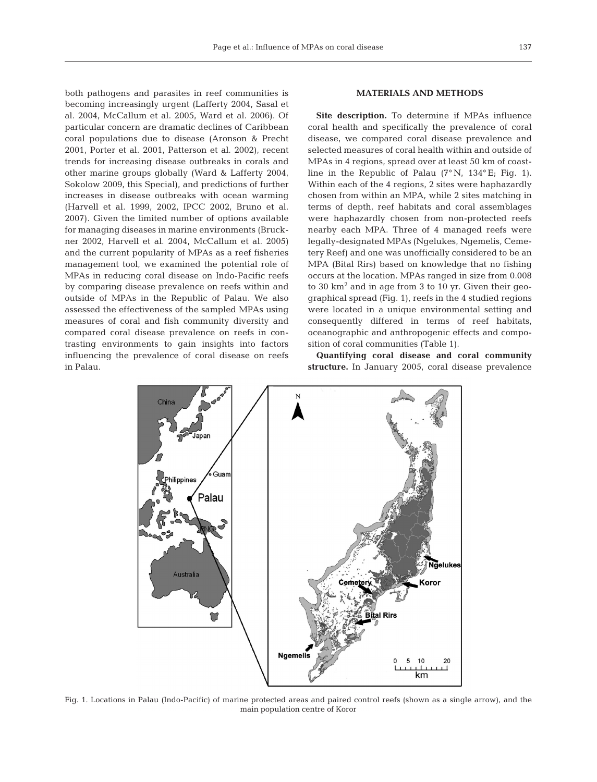both pathogens and parasites in reef communities is becoming increasingly urgent (Lafferty 2004, Sasal et al. 2004, McCallum et al. 2005, Ward et al. 2006). Of particular concern are dramatic declines of Caribbean coral populations due to disease (Aronson & Precht 2001, Porter et al. 2001, Patterson et al. 2002), recent trends for increasing disease outbreaks in corals and other marine groups globally (Ward & Lafferty 2004, Sokolow 2009, this Special), and predictions of further increases in disease outbreaks with ocean warming (Harvell et al. 1999, 2002, IPCC 2002, Bruno et al. 2007). Given the limited number of options available for managing diseases in marine environments (Bruckner 2002, Harvell et al. 2004, McCallum et al. 2005) and the current popularity of MPAs as a reef fisheries management tool, we examined the potential role of MPAs in reducing coral disease on Indo-Pacific reefs by comparing disease prevalence on reefs within and outside of MPAs in the Republic of Palau. We also assessed the effectiveness of the sampled MPAs using measures of coral and fish community diversity and compared coral disease prevalence on reefs in contrasting environments to gain insights into factors influencing the prevalence of coral disease on reefs in Palau.

## **MATERIALS AND METHODS**

**Site description.** To determine if MPAs influence coral health and specifically the prevalence of coral disease, we compared coral disease prevalence and selected measures of coral health within and outside of MPAs in 4 regions, spread over at least 50 km of coastline in the Republic of Palau  $(7°\text{ N}, 134°\text{ E}; \text{ Fig. 1}).$ Within each of the 4 regions, 2 sites were haphazardly chosen from within an MPA, while 2 sites matching in terms of depth, reef habitats and coral assemblages were haphazardly chosen from non-protected reefs nearby each MPA. Three of 4 managed reefs were legally-designated MPAs (Ngelukes, Ngemelis, Cemetery Reef) and one was unofficially considered to be an MPA (Bital Rirs) based on knowledge that no fishing occurs at the location. MPAs ranged in size from 0.008 to 30  $km^2$  and in age from 3 to 10 yr. Given their geographical spread (Fig. 1), reefs in the 4 studied regions were located in a unique environmental setting and consequently differed in terms of reef habitats, oceanographic and anthropogenic effects and composition of coral communities (Table 1).

**Quantifying coral disease and coral community structure.** In January 2005, coral disease prevalence



Fig. 1. Locations in Palau (Indo-Pacific) of marine protected areas and paired control reefs (shown as a single arrow), and the main population centre of Koror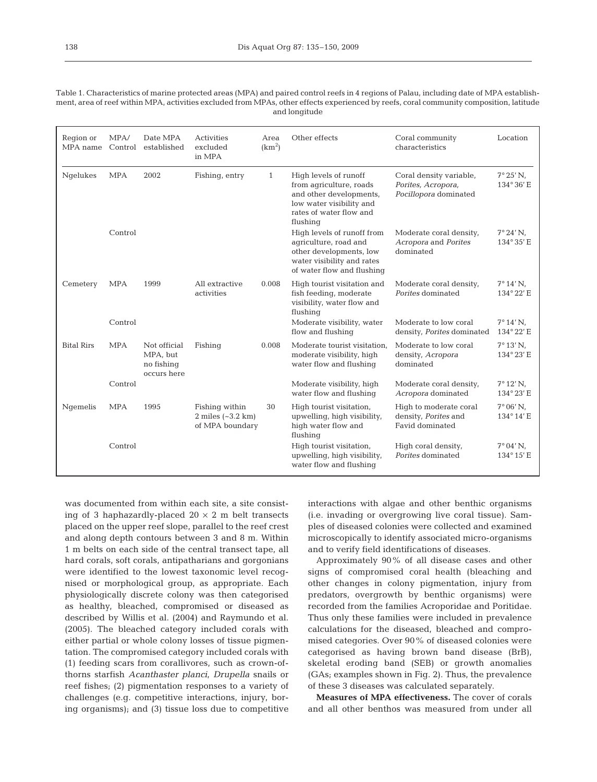Table 1. Characteristics of marine protected areas (MPA) and paired control reefs in 4 regions of Palau, including date of MPA establishment, area of reef within MPA, activities excluded from MPAs, other effects experienced by reefs, coral community composition, latitude and longitude

| Region or<br>MPA name | MPA/<br>Control | Date MPA<br>established                               | Activities<br>excluded<br>in MPA                              | Area<br>(km <sup>2</sup> ) | Other effects                                                                                                                                  | Coral community<br>characteristics                                     | Location                          |
|-----------------------|-----------------|-------------------------------------------------------|---------------------------------------------------------------|----------------------------|------------------------------------------------------------------------------------------------------------------------------------------------|------------------------------------------------------------------------|-----------------------------------|
| Ngelukes              | <b>MPA</b>      | 2002                                                  | Fishing, entry                                                | $\mathbf{1}$               | High levels of runoff<br>from agriculture, roads<br>and other developments,<br>low water visibility and<br>rates of water flow and<br>flushing | Coral density variable,<br>Porites, Acropora,<br>Pocillopora dominated | $7^{\circ}25'$ N,<br>134°36'E     |
|                       | Control         |                                                       |                                                               |                            | High levels of runoff from<br>agriculture, road and<br>other developments, low<br>water visibility and rates<br>of water flow and flushing     | Moderate coral density,<br>Acropora and Porites<br>dominated           | $7°24'$ N,<br>134° 35' E          |
| Cemetery              | <b>MPA</b>      | 1999                                                  | All extractive<br>activities                                  | 0.008                      | High tourist visitation and<br>fish feeding, moderate<br>visibility, water flow and<br>flushing                                                | Moderate coral density,<br>Porites dominated                           | $7^{\circ} 14' N$ ,<br>134° 22' E |
|                       | Control         |                                                       |                                                               |                            | Moderate visibility, water<br>flow and flushing                                                                                                | Moderate to low coral<br>density, Porites dominated                    | $7^{\circ} 14' N$ ,<br>134° 22' E |
| <b>Bital Rirs</b>     | <b>MPA</b>      | Not official<br>MPA, but<br>no fishing<br>occurs here | Fishing                                                       | 0.008                      | Moderate tourist visitation.<br>moderate visibility, high<br>water flow and flushing                                                           | Moderate to low coral<br>density, Acropora<br>dominated                | $7^{\circ} 13' N$ ,<br>134° 23' E |
|                       | Control         |                                                       |                                                               |                            | Moderate visibility, high<br>water flow and flushing                                                                                           | Moderate coral density,<br>Acropora dominated                          | $7^{\circ} 12' N$ ,<br>134° 23' E |
| Ngemelis              | <b>MPA</b>      | 1995                                                  | Fishing within<br>$2$ miles $(-3.2$ km $)$<br>of MPA boundary | 30                         | High tourist visitation,<br>upwelling, high visibility,<br>high water flow and<br>flushing                                                     | High to moderate coral<br>density, Porites and<br>Favid dominated      | $7^{\circ}06'$ N,<br>134°14'E     |
|                       | Control         |                                                       |                                                               |                            | High tourist visitation,<br>upwelling, high visibility,<br>water flow and flushing                                                             | High coral density,<br>Porites dominated                               | $7^{\circ}04'$ N,<br>134°15'E     |

was documented from within each site, a site consisting of 3 haphazardly-placed  $20 \times 2$  m belt transects placed on the upper reef slope, parallel to the reef crest and along depth contours between 3 and 8 m. Within 1 m belts on each side of the central transect tape, all hard corals, soft corals, antipatharians and gorgonians were identified to the lowest taxonomic level recognised or morphological group, as appropriate. Each physiologically discrete colony was then categorised as healthy, bleached, compromised or diseased as described by Willis et al. (2004) and Raymundo et al. (2005). The bleached category included corals with either partial or whole colony losses of tissue pigmentation. The compromised category included corals with (1) feeding scars from corallivores, such as crown-ofthorns starfish *Acanthaster planci*, *Drupella* snails or reef fishes; (2) pigmentation responses to a variety of challenges (e.g. competitive interactions, injury, boring organisms); and (3) tissue loss due to competitive

interactions with algae and other benthic organisms (i.e. invading or overgrowing live coral tissue). Samples of diseased colonies were collected and examined microscopically to identify associated micro-organisms and to verify field identifications of diseases.

Approximately 90% of all disease cases and other signs of compromised coral health (bleaching and other changes in colony pigmentation, injury from predators, overgrowth by benthic organisms) were recorded from the families Acroporidae and Poritidae. Thus only these families were included in prevalence calculations for the diseased, bleached and compromised categories. Over 90% of diseased colonies were categorised as having brown band disease (BrB), skeletal eroding band (SEB) or growth anomalies (GAs; examples shown in Fig. 2). Thus, the prevalence of these 3 diseases was calculated separately.

**Measures of MPA effectiveness.** The cover of corals and all other benthos was measured from under all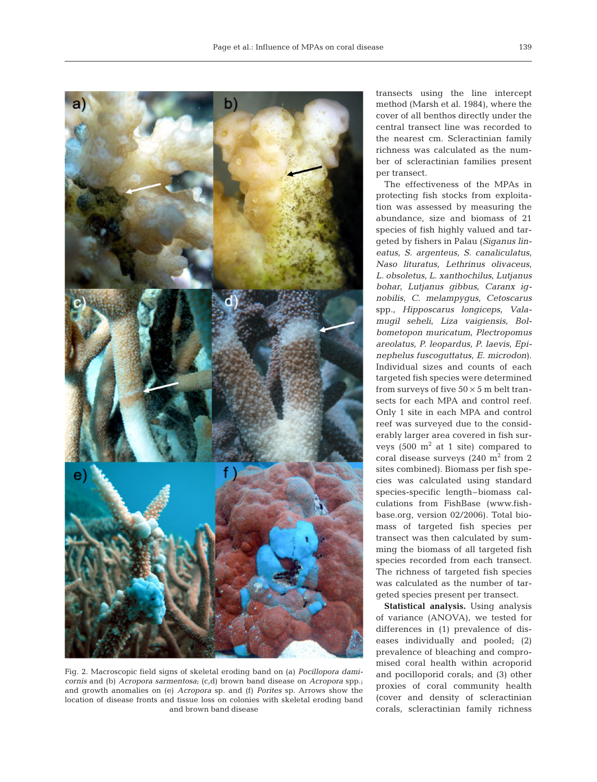

Fig. 2. Macroscopic field signs of skeletal eroding band on (a) *Pocillopora damicornis* and (b) *Acropora sarmentosa*; (c,d) brown band disease on *Acropora* spp.; and growth anomalies on (e) *Acropora* sp. and (f) *Porites* sp. Arrows show the location of disease fronts and tissue loss on colonies with skeletal eroding band and brown band disease

transects using the line intercept method (Marsh et al. 1984), where the cover of all benthos directly under the central transect line was recorded to the nearest cm. Scleractinian family richness was calculated as the number of scleractinian families present per transect.

The effectiveness of the MPAs in protecting fish stocks from exploitation was assessed by measuring the abundance, size and biomass of 21 species of fish highly valued and targeted by fishers in Palau (*Siganus lineatus*, *S. argenteus*, *S. canaliculatus*, *Naso lituratus*, *Lethrinus olivaceus*, *L. obsoletus*, *L. xanthochilus*, *Lutjanus bohar*, *Lutjanus gibbus*, *Caranx ignobilis*, *C. melampygus*, *Cetoscarus* spp., *Hipposcarus longiceps*, *Valamugil seheli*, *Liza vaigiensis*, *Bolbometopon muricatum*, *Plectropomus areolatus*, *P. leopardus*, *P. laevis*, *Epinephelus fuscoguttatus*, *E. microdon*). Individual sizes and counts of each targeted fish species were determined from surveys of five  $50 \times 5$  m belt transects for each MPA and control reef. Only 1 site in each MPA and control reef was surveyed due to the considerably larger area covered in fish surveys  $(500 \text{ m}^2 \text{ at } 1 \text{ site})$  compared to coral disease surveys  $(240 \text{ m}^2 \text{ from } 2)$ sites combined). Biomass per fish species was calculated using standard species-specific length–biomass calculations from FishBase (www.fishbase.org, version 02/2006). Total biomass of targeted fish species per transect was then calculated by summing the biomass of all targeted fish species recorded from each transect. The richness of targeted fish species was calculated as the number of targeted species present per transect.

**Statistical analysis.** Using analysis of variance (ANOVA), we tested for differences in (1) prevalence of diseases individually and pooled; (2) prevalence of bleaching and compromised coral health within acroporid and pocilloporid corals; and (3) other proxies of coral community health (cover and density of scleractinian corals, scleractinian family richness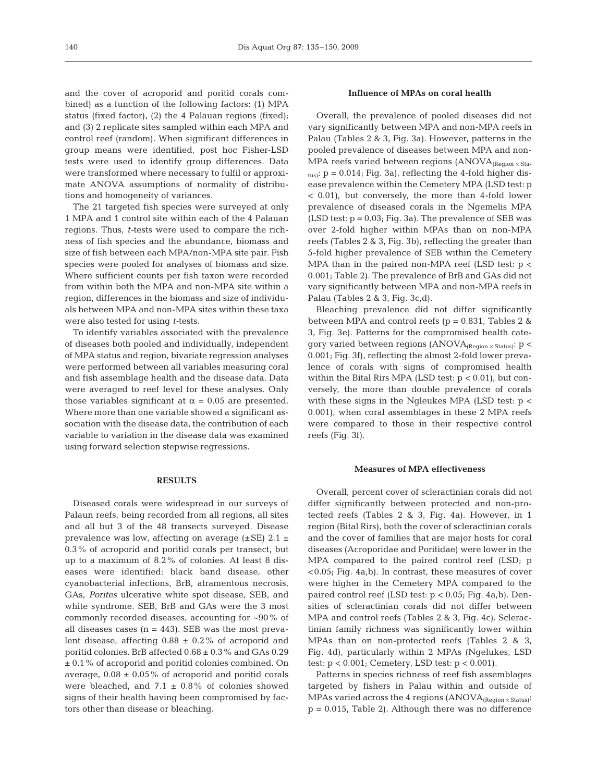and the cover of acroporid and poritid corals combined) as a function of the following factors: (1) MPA status (fixed factor), (2) the 4 Palauan regions (fixed); and (3) 2 replicate sites sampled within each MPA and control reef (random). When significant differences in group means were identified, post hoc Fisher-LSD tests were used to identify group differences. Data were transformed where necessary to fulfil or approximate ANOVA assumptions of normality of distributions and homogeneity of variances.

The 21 targeted fish species were surveyed at only 1 MPA and 1 control site within each of the 4 Palauan regions. Thus, *t-*tests were used to compare the richness of fish species and the abundance, biomass and size of fish between each MPA/non-MPA site pair. Fish species were pooled for analyses of biomass and size. Where sufficient counts per fish taxon were recorded from within both the MPA and non-MPA site within a region, differences in the biomass and size of individuals between MPA and non-MPA sites within these taxa were also tested for using *t-*tests.

To identify variables associated with the prevalence of diseases both pooled and individually, independent of MPA status and region, bivariate regression analyses were performed between all variables measuring coral and fish assemblage health and the disease data. Data were averaged to reef level for these analyses. Only those variables significant at  $\alpha = 0.05$  are presented. Where more than one variable showed a significant association with the disease data, the contribution of each variable to variation in the disease data was examined using forward selection stepwise regressions.

## **RESULTS**

Diseased corals were widespread in our surveys of Palaun reefs, being recorded from all regions, all sites and all but 3 of the 48 transects surveyed. Disease prevalence was low, affecting on average  $(\pm SE)$  2.1  $\pm$ 0.3% of acroporid and poritid corals per transect, but up to a maximum of 8.2% of colonies. At least 8 diseases were identified: black band disease, other cyanobacterial infections, BrB, atramentous necrosis, GAs, *Porites* ulcerative white spot disease, SEB, and white syndrome. SEB, BrB and GAs were the 3 most commonly recorded diseases, accounting for ~90% of all diseases cases  $(n = 443)$ . SEB was the most prevalent disease, affecting  $0.88 \pm 0.2\%$  of acroporid and poritid colonies. BrB affected  $0.68 \pm 0.3$ % and GAs  $0.29$ ± 0.1% of acroporid and poritid colonies combined. On average,  $0.08 \pm 0.05\%$  of acroporid and poritid corals were bleached, and  $7.1 \pm 0.8\%$  of colonies showed signs of their health having been compromised by factors other than disease or bleaching.

## **Influence of MPAs on coral health**

Overall, the prevalence of pooled diseases did not vary significantly between MPA and non-MPA reefs in Palau (Tables 2 & 3, Fig. 3a). However, patterns in the pooled prevalence of diseases between MPA and non-MPA reefs varied between regions ( $ANOVA_{(Region \times Sta-})$  $_{\text{tus}}$ :  $p = 0.014$ ; Fig. 3a), reflecting the 4-fold higher disease prevalence within the Cemetery MPA (LSD test: p < 0.01), but conversely, the more than 4-fold lower prevalence of diseased corals in the Ngemelis MPA (LSD test:  $p = 0.03$ ; Fig. 3a). The prevalence of SEB was over 2-fold higher within MPAs than on non-MPA reefs (Tables 2 & 3, Fig. 3b), reflecting the greater than 5-fold higher prevalence of SEB within the Cemetery MPA than in the paired non-MPA reef (LSD test:  $p <$ 0.001; Table 2). The prevalence of BrB and GAs did not vary significantly between MPA and non-MPA reefs in Palau (Tables 2 & 3, Fig. 3c,d).

Bleaching prevalence did not differ significantly between MPA and control reefs ( $p = 0.831$ , Tables 2 & 3, Fig. 3e). Patterns for the compromised health category varied between regions  $(ANOVA_{(Reation \times Status)}: p \leq$ 0.001; Fig. 3f), reflecting the almost 2-fold lower prevalence of corals with signs of compromised health within the Bital Rirs MPA (LSD test:  $p < 0.01$ ), but conversely, the more than double prevalence of corals with these signs in the Ngleukes MPA (LSD test:  $p <$ 0.001), when coral assemblages in these 2 MPA reefs were compared to those in their respective control reefs (Fig. 3f).

#### **Measures of MPA effectiveness**

Overall, percent cover of scleractinian corals did not differ significantly between protected and non-protected reefs (Tables 2 & 3, Fig. 4a). However, in 1 region (Bital Rirs), both the cover of scleractinian corals and the cover of families that are major hosts for coral diseases (Acroporidae and Poritidae) were lower in the MPA compared to the paired control reef (LSD; p <0.05; Fig. 4a,b). In contrast, these measures of cover were higher in the Cemetery MPA compared to the paired control reef (LSD test: p < 0.05; Fig. 4a,b). Densities of scleractinian corals did not differ between MPA and control reefs (Tables 2 & 3, Fig. 4c). Scleractinian family richness was significantly lower within MPAs than on non-protected reefs (Tables 2 & 3, Fig. 4d), particularly within 2 MPAs (Ngelukes, LSD test: p < 0.001; Cemetery, LSD test: p < 0.001).

Patterns in species richness of reef fish assemblages targeted by fishers in Palau within and outside of MPAs varied across the 4 regions (ANOVA $_{(Region \times Status)}$ :  $p = 0.015$ , Table 2). Although there was no difference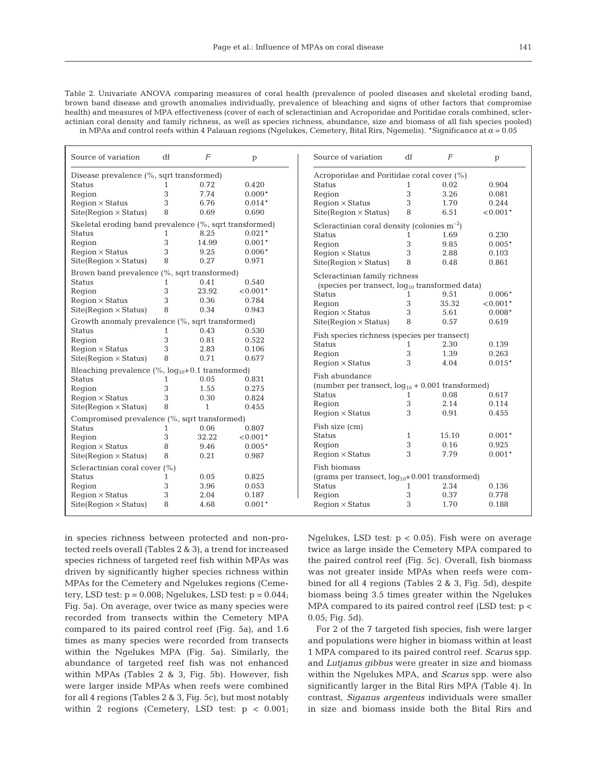Table 2. Univariate ANOVA comparing measures of coral health (prevalence of pooled diseases and skeletal eroding band, brown band disease and growth anomalies individually, prevalence of bleaching and signs of other factors that compromise health) and measures of MPA effectiveness (cover of each of scleractinian and Acroporidae and Poritidae corals combined, scleractinian coral density and family richness, as well as species richness, abundance, size and biomass of all fish species pooled) in MPAs and control reefs within 4 Palauan regions (Ngelukes, Cemetery, Bital Rirs, Ngemelis). \*Significance at  $\alpha$  = 0.05

| Source of variation                                      | df           | $\overline{F}$                               | p                                                  | Source of variation                                        | df                                               | $\overline{F}$ | p          |  |  |
|----------------------------------------------------------|--------------|----------------------------------------------|----------------------------------------------------|------------------------------------------------------------|--------------------------------------------------|----------------|------------|--|--|
| Disease prevalence (%, sqrt transformed)                 |              |                                              | Acroporidae and Poritidae coral cover (%)          |                                                            |                                                  |                |            |  |  |
| <b>Status</b>                                            | 1            | 0.72                                         | 0.420                                              | <b>Status</b>                                              | $\mathbf{1}$                                     | 0.02           | 0.904      |  |  |
| Region                                                   | 3            | 7.74                                         | $0.009*$                                           | Region                                                     | 3                                                | 3.26           | 0.081      |  |  |
| $Region \times Status$                                   | 3            | 6.76                                         | $0.014*$                                           | $Region \times Status$                                     | 3                                                | 1.70           | 0.244      |  |  |
| $Site(Region \times Status)$                             | 8            | 0.69                                         | 0.690                                              | $Site(Region \times Status)$                               | 8                                                | 6.51           | $< 0.001*$ |  |  |
| Skeletal eroding band prevalence (%, sqrt transformed)   |              |                                              |                                                    |                                                            | Scleractinian coral density (colonies $m^{-2}$ ) |                |            |  |  |
| <b>Status</b>                                            | $\mathbf{1}$ | 8.25                                         | $0.021*$                                           | <b>Status</b>                                              | 1                                                | 1.69           | 0.230      |  |  |
| Region                                                   | 3            | 14.99                                        | $0.001*$                                           | Region                                                     | 3                                                | 9.85           | $0.005*$   |  |  |
| $Region \times Status$                                   | 3            | 9.25                                         | $0.006*$                                           | $Region \times Status$                                     | 3                                                | 2.88           | 0.103      |  |  |
| $Site(Region \times Status)$                             | 8            | 0.27                                         | 0.971                                              | $Site(Region \times Status)$                               | 8                                                | 0.48           | 0.861      |  |  |
| Brown band prevalence (%, sqrt transformed)              |              |                                              |                                                    | Scleractinian family richness                              |                                                  |                |            |  |  |
| <b>Status</b>                                            | 1            | 0.41                                         | 0.540                                              | (species per transect, log <sub>10</sub> transformed data) |                                                  |                |            |  |  |
| Region                                                   | 3            | 23.92                                        | $< 0.001*$                                         | <b>Status</b>                                              |                                                  | 9.51           | $0.006*$   |  |  |
| $Region \times Status$                                   | 3            | 0.36                                         | 0.784                                              | Region                                                     | 3                                                | 35.32          | $< 0.001*$ |  |  |
| $Site(Region \times Status)$                             | 8            | 0.34                                         | 0.943                                              | $Region \times Status$                                     | 3                                                | 5.61           | $0.008*$   |  |  |
| Growth anomaly prevalence (%, sqrt transformed)          |              |                                              |                                                    | $Site(Region \times Status)$                               | 8                                                | 0.57           | 0.619      |  |  |
| 0.43<br><b>Status</b><br>0.530<br>1                      |              | Fish species richness (species per transect) |                                                    |                                                            |                                                  |                |            |  |  |
| Region                                                   | 3            | 0.81                                         | 0.522                                              | <b>Status</b>                                              | 1                                                | 2.30           | 0.139      |  |  |
| $Region \times Status$                                   | 3            | 2.83                                         | 0.106                                              | Region                                                     | 3                                                | 1.39           | 0.263      |  |  |
| $Site(Region \times Status)$                             | 8            | 0.71                                         | 0.677                                              | $Region \times Status$                                     | 3                                                | 4.04           | $0.015*$   |  |  |
| Bleaching prevalence $(\%$ , $log_{10}+0.1$ transformed) |              |                                              |                                                    |                                                            |                                                  |                |            |  |  |
| <b>Status</b>                                            | $\mathbf{1}$ | 0.05                                         | 0.831                                              | Fish abundance                                             |                                                  |                |            |  |  |
| Region                                                   | 3            | 1.55                                         | 0.275                                              | (number per transect, $log_{10}$ + 0.001 transformed)      |                                                  |                |            |  |  |
| $Region \times Status$                                   | 3            | 0.30                                         | 0.824                                              | <b>Status</b>                                              | 1                                                | 0.08           | 0.617      |  |  |
| $Site(Region \times Status)$                             | 8            | $\mathbf{1}$                                 | 0.455                                              | Region                                                     | 3                                                | 2.14           | 0.114      |  |  |
| Compromised prevalence (%, sqrt transformed)             |              |                                              |                                                    | $Region \times Status$                                     | 3                                                | 0.91           | 0.455      |  |  |
| <b>Status</b>                                            | $\mathbf{1}$ | 0.06                                         | 0.807                                              | Fish size (cm)                                             |                                                  |                |            |  |  |
| Region                                                   | 3            | 32.22                                        | $< 0.001*$                                         | <b>Status</b>                                              | $\mathbf{1}$                                     | 15.10          | $0.001*$   |  |  |
| $Region \times Status$                                   | 8            | 9.46                                         | $0.005*$                                           | Region                                                     | 3                                                | 0.16           | 0.925      |  |  |
| $Site(Region \times Status)$                             | 8            | 0.21                                         | 0.987                                              | $Reqion \times Status$                                     | 3                                                | 7.79           | $0.001*$   |  |  |
| Scleractinian coral cover (%)                            |              |                                              |                                                    | Fish biomass                                               |                                                  |                |            |  |  |
| 0.05<br>0.825<br><b>Status</b><br>1                      |              |                                              | (grams per transect, $log_{10}+0.001$ transformed) |                                                            |                                                  |                |            |  |  |
| Region                                                   | 3            | 3.96                                         | 0.053                                              | <b>Status</b>                                              | $\mathbf{1}$                                     | 2.34           | 0.136      |  |  |
| $Region \times Status$                                   | 3            | 2.04                                         | 0.187                                              | Region                                                     | 3                                                | 0.37           | 0.778      |  |  |
| 8<br>$Site(Region \times Status)$<br>4.68                |              | $0.001*$                                     | $Region \times Status$                             | 3                                                          | 1.70                                             | 0.188          |            |  |  |

in species richness between protected and non-protected reefs overall (Tables 2 & 3), a trend for increased species richness of targeted reef fish within MPAs was driven by significantly higher species richness within MPAs for the Cemetery and Ngelukes regions (Cemetery, LSD test:  $p = 0.008$ ; Ngelukes, LSD test:  $p = 0.044$ ; Fig. 5a). On average, over twice as many species were recorded from transects within the Cemetery MPA compared to its paired control reef (Fig. 5a), and 1.6 times as many species were recorded from transects within the Ngelukes MPA (Fig. 5a). Similarly, the abundance of targeted reef fish was not enhanced within MPAs (Tables 2 & 3, Fig. 5b). However, fish were larger inside MPAs when reefs were combined for all 4 regions (Tables 2 & 3, Fig. 5c), but most notably within 2 regions (Cemetery, LSD test:  $p < 0.001$ ;

Ngelukes, LSD test:  $p < 0.05$ ). Fish were on average twice as large inside the Cemetery MPA compared to the paired control reef (Fig. 5c). Overall, fish biomass was not greater inside MPAs when reefs were combined for all 4 regions (Tables 2 & 3, Fig. 5d), despite biomass being 3.5 times greater within the Ngelukes MPA compared to its paired control reef (LSD test: p < 0.05; Fig. 5d).

For 2 of the 7 targeted fish species, fish were larger and populations were higher in biomass within at least 1 MPA compared to its paired control reef. *Scarus* spp. and *Lutjanus gibbus* were greater in size and biomass within the Ngelukes MPA, and *Scarus* spp. were also significantly larger in the Bital Rirs MPA (Table 4). In contrast, *Siganus argenteus* individuals were smaller in size and biomass inside both the Bital Rirs and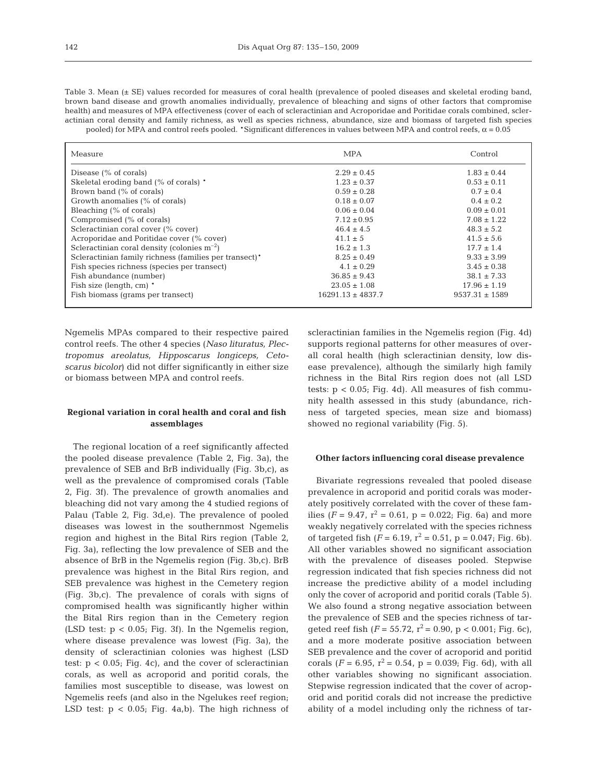Table 3. Mean (± SE) values recorded for measures of coral health (prevalence of pooled diseases and skeletal eroding band, brown band disease and growth anomalies individually, prevalence of bleaching and signs of other factors that compromise health) and measures of MPA effectiveness (cover of each of scleractinian and Acroporidae and Poritidae corals combined, scleractinian coral density and family richness, as well as species richness, abundance, size and biomass of targeted fish species pooled) for MPA and control reefs pooled. \*Significant differences in values between MPA and control reefs,  $\alpha$  = 0.05

| Measure                                                | <b>MPA</b>            | Control            |
|--------------------------------------------------------|-----------------------|--------------------|
| Disease $(\%$ of corals)                               | $2.29 \pm 0.45$       | $1.83 \pm 0.44$    |
| Skeletal eroding band (% of corals) *                  | $1.23 \pm 0.37$       | $0.53 \pm 0.11$    |
| Brown band (% of corals)                               | $0.59 \pm 0.28$       | $0.7 \pm 0.4$      |
| Growth anomalies (% of corals)                         | $0.18 \pm 0.07$       | $0.4 \pm 0.2$      |
| Bleaching (% of corals)                                | $0.06 \pm 0.04$       | $0.09 \pm 0.01$    |
| Compromised (% of corals)                              | $7.12 \pm 0.95$       | $7.08 \pm 1.22$    |
| Scleractinian coral cover (% cover)                    | $46.4 \pm 4.5$        | $48.3 \pm 5.2$     |
| Acroporidae and Poritidae cover (% cover)              | $41.1 \pm 5$          | $41.5 \pm 5.6$     |
| Scleractinian coral density (colonies $m^{-2}$ )       | $16.2 \pm 1.3$        | $17.7 \pm 1.4$     |
| Scleractinian family richness (families per transect)* | $8.25 \pm 0.49$       | $9.33 \pm 3.99$    |
| Fish species richness (species per transect)           | $4.1 \pm 0.29$        | $3.45 \pm 0.38$    |
| Fish abundance (number)                                | $36.85 \pm 9.43$      | $38.1 \pm 7.33$    |
| Fish size (length, cm) *                               | $23.05 \pm 1.08$      | $17.96 \pm 1.19$   |
| Fish biomass (grams per transect)                      | $16291.13 \pm 4837.7$ | $9537.31 \pm 1589$ |

Ngemelis MPAs compared to their respective paired control reefs. The other 4 species (*Naso lituratus, Plectropomus areolatus, Hipposcarus longiceps, Cetoscarus bicolor*) did not differ significantly in either size or biomass between MPA and control reefs.

# **Regional variation in coral health and coral and fish assemblages**

The regional location of a reef significantly affected the pooled disease prevalence (Table 2, Fig. 3a), the prevalence of SEB and BrB individually (Fig. 3b,c), as well as the prevalence of compromised corals (Table 2, Fig. 3f). The prevalence of growth anomalies and bleaching did not vary among the 4 studied regions of Palau (Table 2, Fig. 3d,e). The prevalence of pooled diseases was lowest in the southernmost Ngemelis region and highest in the Bital Rirs region (Table 2, Fig. 3a), reflecting the low prevalence of SEB and the absence of BrB in the Ngemelis region (Fig. 3b,c). BrB prevalence was highest in the Bital Rirs region, and SEB prevalence was highest in the Cemetery region (Fig. 3b,c). The prevalence of corals with signs of compromised health was significantly higher within the Bital Rirs region than in the Cemetery region (LSD test: p < 0.05; Fig. 3f). In the Ngemelis region, where disease prevalence was lowest (Fig. 3a), the density of scleractinian colonies was highest (LSD test:  $p < 0.05$ ; Fig. 4c), and the cover of scleractinian corals, as well as acroporid and poritid corals, the families most susceptible to disease, was lowest on Ngemelis reefs (and also in the Ngelukes reef region; LSD test:  $p < 0.05$ ; Fig. 4a,b). The high richness of

scleractinian families in the Ngemelis region (Fig. 4d) supports regional patterns for other measures of overall coral health (high scleractinian density, low disease prevalence), although the similarly high family richness in the Bital Rirs region does not (all LSD tests:  $p < 0.05$ ; Fig. 4d). All measures of fish community health assessed in this study (abundance, richness of targeted species, mean size and biomass) showed no regional variability (Fig. 5).

## **Other factors influencing coral disease prevalence**

Bivariate regressions revealed that pooled disease prevalence in acroporid and poritid corals was moderately positively correlated with the cover of these families ( $F = 9.47$ ,  $r^2 = 0.61$ ,  $p = 0.022$ ; Fig. 6a) and more weakly negatively correlated with the species richness of targeted fish  $(F = 6.19, r^2 = 0.51, p = 0.047;$  Fig. 6b). All other variables showed no significant association with the prevalence of diseases pooled. Stepwise regression indicated that fish species richness did not increase the predictive ability of a model including only the cover of acroporid and poritid corals (Table 5). We also found a strong negative association between the prevalence of SEB and the species richness of targeted reef fish  $(F = 55.72, r^2 = 0.90, p < 0.001$ ; Fig. 6c), and a more moderate positive association between SEB prevalence and the cover of acroporid and poritid corals ( $F = 6.95$ ,  $r^2 = 0.54$ ,  $p = 0.039$ ; Fig. 6d), with all other variables showing no significant association. Stepwise regression indicated that the cover of acroporid and poritid corals did not increase the predictive ability of a model including only the richness of tar-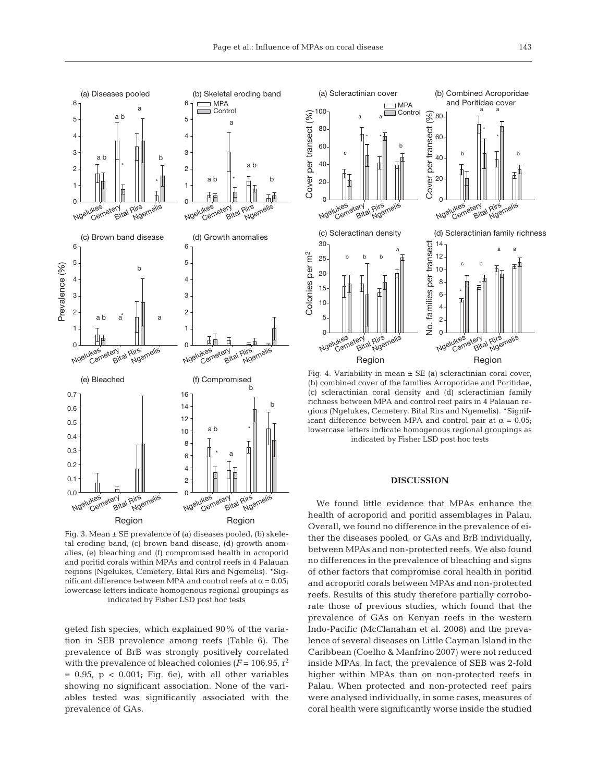

Fig. 3. Mean ± SE prevalence of (a) diseases pooled, (b) skeletal eroding band, (c) brown band disease, (d) growth anomalies, (e) bleaching and (f) compromised health in acroporid and poritid corals within MPAs and control reefs in 4 Palauan regions (Ngelukes, Cemetery, Bital Rirs and Ngemelis). \*Significant difference between MPA and control reefs at  $\alpha = 0.05$ ; lowercase letters indicate homogenous regional groupings as indicated by Fisher LSD post hoc tests

geted fish species, which explained 90% of the variation in SEB prevalence among reefs (Table 6). The prevalence of BrB was strongly positively correlated with the prevalence of bleached colonies ( $F = 106.95$ ,  $r^2$  $= 0.95$ ,  $p < 0.001$ ; Fig. 6e), with all other variables showing no significant association. None of the variables tested was significantly associated with the prevalence of GAs.



Fig. 4. Variability in mean  $\pm$  SE (a) scleractinian coral cover, (b) combined cover of the families Acroporidae and Poritidae, (c) scleractinian coral density and (d) scleractinian family richness between MPA and control reef pairs in 4 Palauan regions (Ngelukes, Cemetery, Bital Rirs and Ngemelis). \*Significant difference between MPA and control pair at  $α = 0.05$ ; lowercase letters indicate homogenous regional groupings as indicated by Fisher LSD post hoc tests

# **DISCUSSION**

We found little evidence that MPAs enhance the health of acroporid and poritid assemblages in Palau. Overall, we found no difference in the prevalence of either the diseases pooled, or GAs and BrB individually, between MPAs and non-protected reefs. We also found no differences in the prevalence of bleaching and signs of other factors that compromise coral health in poritid and acroporid corals between MPAs and non-protected reefs. Results of this study therefore partially corroborate those of previous studies, which found that the prevalence of GAs on Kenyan reefs in the western Indo-Pacific (McClanahan et al. 2008) and the prevalence of several diseases on Little Cayman Island in the Caribbean (Coelho & Manfrino 2007) were not reduced inside MPAs. In fact, the prevalence of SEB was 2-fold higher within MPAs than on non-protected reefs in Palau. When protected and non-protected reef pairs were analysed individually, in some cases, measures of coral health were significantly worse inside the studied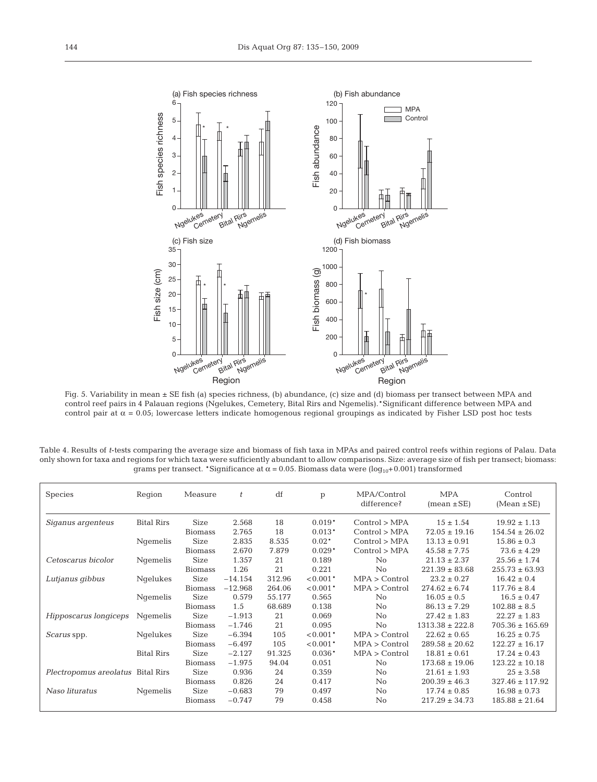

Fig. 5. Variability in mean ± SE fish (a) species richness, (b) abundance, (c) size and (d) biomass per transect between MPA and control reef pairs in 4 Palauan regions (Ngelukes, Cemetery, Bital Rirs and Ngemelis).\*Significant difference between MPA and control pair at α = 0.05; lowercase letters indicate homogenous regional groupings as indicated by Fisher LSD post hoc tests

Table 4. Results of *t*-tests comparing the average size and biomass of fish taxa in MPAs and paired control reefs within regions of Palau. Data only shown for taxa and regions for which taxa were sufficiently abundant to allow comparisons. Size: average size of fish per transect; biomass: grams per transect. \*Significance at  $\alpha$  = 0.05. Biomass data were (log<sub>10</sub>+0.001) transformed

| <b>Species</b>                    | Region            | Measure        | t         | df     | p          | MPA/Control<br>difference? | <b>MPA</b><br>$mean \pm SE$ | Control<br>$(Mean \pm SE)$ |
|-----------------------------------|-------------------|----------------|-----------|--------|------------|----------------------------|-----------------------------|----------------------------|
| Siganus argenteus                 | Bital Rirs        | <b>Size</b>    | 2.568     | 18     | $0.019*$   | Control > MPA              | $15 \pm 1.54$               | $19.92 \pm 1.13$           |
|                                   |                   | <b>Biomass</b> | 2.765     | 18     | $0.013*$   | Control > MPA              | $72.05 \pm 19.16$           | $154.54 \pm 26.02$         |
|                                   | Ngemelis          | <b>Size</b>    | 2.835     | 8.535  | $0.02*$    | Control > MPA              | $13.13 \pm 0.91$            | $15.86 \pm 0.3$            |
|                                   |                   | <b>Biomass</b> | 2.670     | 7.879  | $0.029*$   | Control > MPA              | $45.58 \pm 7.75$            | $73.6 \pm 4.29$            |
| Cetoscarus bicolor                | Ngemelis          | <b>Size</b>    | 1.357     | 21     | 0.189      | $\overline{N}$             | $21.13 \pm 2.37$            | $25.56 \pm 1.74$           |
|                                   |                   | <b>Biomass</b> | 1.26      | 21     | 0.221      | $\overline{N}$             | $221.39 \pm 83.68$          | $255.73 \pm 63.93$         |
| Lutjanus gibbus                   | Ngelukes          | <b>Size</b>    | $-14.154$ | 312.96 | $< 0.001*$ | MPA > Control              | $23.2 \pm 0.27$             | $16.42 \pm 0.4$            |
|                                   |                   | Biomass        | $-12.968$ | 264.06 | $< 0.001*$ | MPA > Control              | $274.62 \pm 6.74$           | $117.76 \pm 8.4$           |
|                                   | Ngemelis          | <b>Size</b>    | 0.579     | 55.177 | 0.565      | No                         | $16.05 \pm 0.5$             | $16.5 \pm 0.47$            |
|                                   |                   | <b>Biomass</b> | 1.5       | 68.689 | 0.138      | $\rm No$                   | $86.13 \pm 7.29$            | $102.88 \pm 8.5$           |
| Hipposcarus longiceps             | Ngemelis          | <b>Size</b>    | $-1.913$  | 21     | 0.069      | $\overline{N}$             | $27.42 \pm 1.83$            | $22.27 \pm 1.83$           |
|                                   |                   | <b>Biomass</b> | $-1.746$  | 21     | 0.095      | No                         | $1313.38 \pm 222.8$         | $705.36 \pm 165.69$        |
| <i>Scarus</i> spp.                | Ngelukes          | <b>Size</b>    | $-6.394$  | 105    | $< 0.001*$ | MPA > Control              | $22.62 \pm 0.65$            | $16.25 \pm 0.75$           |
|                                   |                   | <b>Biomass</b> | $-6.497$  | 105    | $< 0.001*$ | MPA > Control              | $289.58 \pm 20.62$          | $122.27 \pm 16.17$         |
|                                   | <b>Bital Rirs</b> | <b>Size</b>    | $-2.127$  | 91.325 | $0.036*$   | MPA > Control              | $18.81 \pm 0.61$            | $17.24 \pm 0.43$           |
|                                   |                   | <b>Biomass</b> | $-1.975$  | 94.04  | 0.051      | $\overline{N}$             | $173.68 \pm 19.06$          | $123.22 \pm 10.18$         |
| Plectropomus areolatus Bital Rirs |                   | Size           | 0.936     | 24     | 0.359      | $\overline{N}$             | $21.61 \pm 1.93$            | $25 \pm 3.58$              |
|                                   |                   | <b>Biomass</b> | 0.826     | 24     | 0.417      | No                         | $200.39 \pm 46.3$           | $327.46 \pm 117.92$        |
| Naso lituratus                    | Ngemelis          | <b>Size</b>    | $-0.683$  | 79     | 0.497      | No                         | $17.74 \pm 0.85$            | $16.98 \pm 0.73$           |
|                                   |                   | <b>Biomass</b> | $-0.747$  | 79     | 0.458      | $\rm No$                   | $217.29 \pm 34.73$          | $185.88 \pm 21.64$         |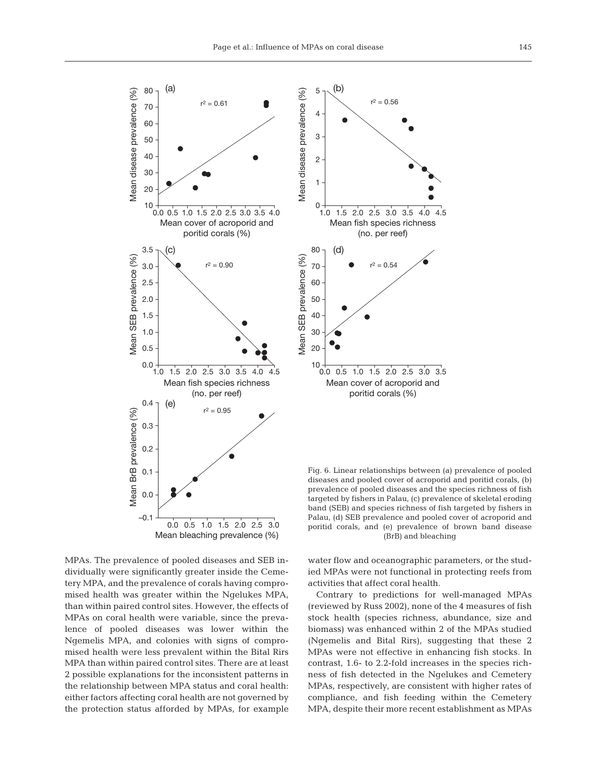

MPAs. The prevalence of pooled diseases and SEB individually were significantly greater inside the Cemetery MPA, and the prevalence of corals having compromised health was greater within the Ngelukes MPA, than within paired control sites. However, the effects of MPAs on coral health were variable, since the prevalence of pooled diseases was lower within the Ngemelis MPA, and colonies with signs of compromised health were less prevalent within the Bital Rirs MPA than within paired control sites. There are at least 2 possible explanations for the inconsistent patterns in the relationship between MPA status and coral health: either factors affecting coral health are not governed by the protection status afforded by MPAs, for example

Mean cover of acroporid and poritid corals (%) 0.0 0.5 1.0 1.5 2.0 2.5 3.0 3.5  $r^2 = 0.54$ (d)

(no. per reef)

Fig. 6. Linear relationships between (a) prevalence of pooled diseases and pooled cover of acroporid and poritid corals, (b) prevalence of pooled diseases and the species richness of fish targeted by fishers in Palau, (c) prevalence of skeletal eroding band (SEB) and species richness of fish targeted by fishers in Palau, (d) SEB prevalence and pooled cover of acroporid and poritid corals, and (e) prevalence of brown band disease (BrB) and bleaching

water flow and oceanographic parameters, or the studied MPAs were not functional in protecting reefs from activities that affect coral health.

Contrary to predictions for well-managed MPAs (reviewed by Russ 2002), none of the 4 measures of fish stock health (species richness, abundance, size and biomass) was enhanced within 2 of the MPAs studied (Ngemelis and Bital Rirs), suggesting that these 2 MPAs were not effective in enhancing fish stocks. In contrast, 1.6- to 2.2-fold increases in the species richness of fish detected in the Ngelukes and Cemetery MPAs, respectively, are consistent with higher rates of compliance, and fish feeding within the Cemetery MPA, despite their more recent establishment as MPAs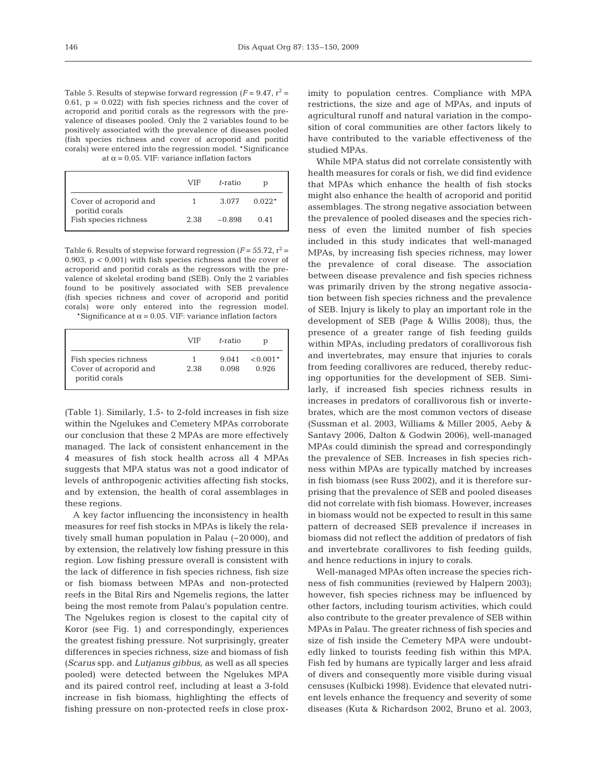Table 5. Results of stepwise forward regression  $(F = 9.47, r^2 =$ 0.61,  $p = 0.022$ ) with fish species richness and the cover of acroporid and poritid corals as the regressors with the prevalence of diseases pooled. Only the 2 variables found to be positively associated with the prevalence of diseases pooled (fish species richness and cover of acroporid and poritid corals) were entered into the regression model. \*Significance at  $\alpha$  = 0.05. VIF: variance inflation factors

|                                          | VIF  | t-ratio  | ŋ        |
|------------------------------------------|------|----------|----------|
| Cover of acroporid and<br>poritid corals |      | 3.077    | $0.022*$ |
| Fish species richness                    | 2.38 | $-0.898$ | 0.41     |

Table 6. Results of stepwise forward regression  $(F = 55.72, r^2 =$ 0.903, p < 0.001) with fish species richness and the cover of acroporid and poritid corals as the regressors with the prevalence of skeletal eroding band (SEB). Only the 2 variables found to be positively associated with SEB prevalence (fish species richness and cover of acroporid and poritid corals) were only entered into the regression model.

\*Significance at  $\alpha$  = 0.05. VIF: variance inflation factors

|                                                                   | VIF  | t-ratio        | n                   |
|-------------------------------------------------------------------|------|----------------|---------------------|
| Fish species richness<br>Cover of acroporid and<br>poritid corals | 2.38 | 9.041<br>0.098 | $< 0.001*$<br>0.926 |

(Table 1). Similarly, 1.5- to 2-fold increases in fish size within the Ngelukes and Cemetery MPAs corroborate our conclusion that these 2 MPAs are more effectively managed. The lack of consistent enhancement in the 4 measures of fish stock health across all 4 MPAs suggests that MPA status was not a good indicator of levels of anthropogenic activities affecting fish stocks, and by extension, the health of coral assemblages in these regions.

A key factor influencing the inconsistency in health measures for reef fish stocks in MPAs is likely the relatively small human population in Palau (~20 000), and by extension, the relatively low fishing pressure in this region. Low fishing pressure overall is consistent with the lack of difference in fish species richness, fish size or fish biomass between MPAs and non-protected reefs in the Bital Rirs and Ngemelis regions, the latter being the most remote from Palau's population centre. The Ngelukes region is closest to the capital city of Koror (see Fig. 1) and correspondingly, experiences the greatest fishing pressure. Not surprisingly, greater differences in species richness, size and biomass of fish (*Scarus* spp. and *Lutjanus gibbus,* as well as all species pooled) were detected between the Ngelukes MPA and its paired control reef, including at least a 3-fold increase in fish biomass, highlighting the effects of fishing pressure on non-protected reefs in close proximity to population centres. Compliance with MPA restrictions, the size and age of MPAs, and inputs of agricultural runoff and natural variation in the composition of coral communities are other factors likely to have contributed to the variable effectiveness of the studied MPAs.

While MPA status did not correlate consistently with health measures for corals or fish, we did find evidence that MPAs which enhance the health of fish stocks might also enhance the health of acroporid and poritid assemblages. The strong negative association between the prevalence of pooled diseases and the species richness of even the limited number of fish species included in this study indicates that well-managed MPAs, by increasing fish species richness, may lower the prevalence of coral disease. The association between disease prevalence and fish species richness was primarily driven by the strong negative association between fish species richness and the prevalence of SEB. Injury is likely to play an important role in the development of SEB (Page & Willis 2008); thus, the presence of a greater range of fish feeding guilds within MPAs, including predators of corallivorous fish and invertebrates, may ensure that injuries to corals from feeding corallivores are reduced, thereby reducing opportunities for the development of SEB. Similarly, if increased fish species richness results in increases in predators of corallivorous fish or invertebrates, which are the most common vectors of disease (Sussman et al. 2003, Williams & Miller 2005, Aeby & Santavy 2006, Dalton & Godwin 2006), well-managed MPAs could diminish the spread and correspondingly the prevalence of SEB. Increases in fish species richness within MPAs are typically matched by increases in fish biomass (see Russ 2002), and it is therefore surprising that the prevalence of SEB and pooled diseases did not correlate with fish biomass. However, increases in biomass would not be expected to result in this same pattern of decreased SEB prevalence if increases in biomass did not reflect the addition of predators of fish and invertebrate corallivores to fish feeding guilds, and hence reductions in injury to corals.

Well-managed MPAs often increase the species richness of fish communities (reviewed by Halpern 2003); however, fish species richness may be influenced by other factors, including tourism activities, which could also contribute to the greater prevalence of SEB within MPAs in Palau. The greater richness of fish species and size of fish inside the Cemetery MPA were undoubtedly linked to tourists feeding fish within this MPA. Fish fed by humans are typically larger and less afraid of divers and consequently more visible during visual censuses (Kulbicki 1998). Evidence that elevated nutrient levels enhance the frequency and severity of some diseases (Kuta & Richardson 2002, Bruno et al. 2003,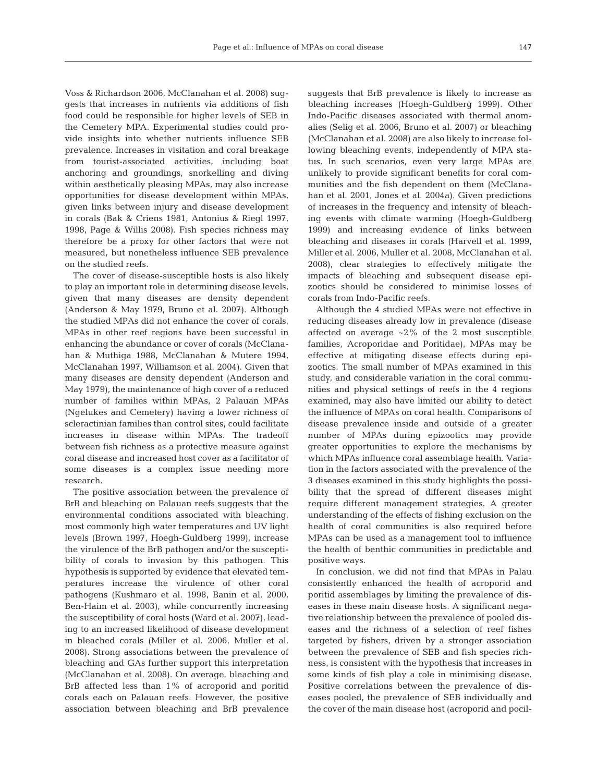Voss & Richardson 2006, McClanahan et al. 2008) suggests that increases in nutrients via additions of fish food could be responsible for higher levels of SEB in the Cemetery MPA. Experimental studies could provide insights into whether nutrients influence SEB prevalence. Increases in visitation and coral breakage from tourist-associated activities, including boat anchoring and groundings, snorkelling and diving within aesthetically pleasing MPAs, may also increase opportunities for disease development within MPAs, given links between injury and disease development in corals (Bak & Criens 1981, Antonius & Riegl 1997, 1998, Page & Willis 2008). Fish species richness may therefore be a proxy for other factors that were not measured, but nonetheless influence SEB prevalence on the studied reefs.

The cover of disease-susceptible hosts is also likely to play an important role in determining disease levels, given that many diseases are density dependent (Anderson & May 1979, Bruno et al. 2007). Although the studied MPAs did not enhance the cover of corals, MPAs in other reef regions have been successful in enhancing the abundance or cover of corals (McClanahan & Muthiga 1988, McClanahan & Mutere 1994, McClanahan 1997, Williamson et al. 2004). Given that many diseases are density dependent (Anderson and May 1979), the maintenance of high cover of a reduced number of families within MPAs, 2 Palauan MPAs (Ngelukes and Cemetery) having a lower richness of scleractinian families than control sites, could facilitate increases in disease within MPAs. The tradeoff between fish richness as a protective measure against coral disease and increased host cover as a facilitator of some diseases is a complex issue needing more research.

The positive association between the prevalence of BrB and bleaching on Palauan reefs suggests that the environmental conditions associated with bleaching, most commonly high water temperatures and UV light levels (Brown 1997, Hoegh-Guldberg 1999), increase the virulence of the BrB pathogen and/or the susceptibility of corals to invasion by this pathogen. This hypothesis is supported by evidence that elevated temperatures increase the virulence of other coral pathogens (Kushmaro et al. 1998, Banin et al. 2000, Ben-Haim et al. 2003), while concurrently increasing the susceptibility of coral hosts (Ward et al. 2007), leading to an increased likelihood of disease development in bleached corals (Miller et al. 2006, Muller et al. 2008). Strong associations between the prevalence of bleaching and GAs further support this interpretation (McClanahan et al. 2008). On average, bleaching and BrB affected less than 1% of acroporid and poritid corals each on Palauan reefs. However, the positive association between bleaching and BrB prevalence

suggests that BrB prevalence is likely to increase as bleaching increases (Hoegh-Guldberg 1999). Other Indo-Pacific diseases associated with thermal anomalies (Selig et al. 2006, Bruno et al. 2007) or bleaching (McClanahan et al. 2008) are also likely to increase following bleaching events, independently of MPA status. In such scenarios, even very large MPAs are unlikely to provide significant benefits for coral communities and the fish dependent on them (McClanahan et al. 2001, Jones et al. 2004a). Given predictions of increases in the frequency and intensity of bleaching events with climate warming (Hoegh-Guldberg 1999) and increasing evidence of links between bleaching and diseases in corals (Harvell et al. 1999, Miller et al. 2006, Muller et al. 2008, McClanahan et al. 2008), clear strategies to effectively mitigate the impacts of bleaching and subsequent disease epizootics should be considered to minimise losses of corals from Indo-Pacific reefs.

Although the 4 studied MPAs were not effective in reducing diseases already low in prevalence (disease affected on average ~2% of the 2 most susceptible families, Acroporidae and Poritidae), MPAs may be effective at mitigating disease effects during epizootics. The small number of MPAs examined in this study, and considerable variation in the coral communities and physical settings of reefs in the 4 regions examined, may also have limited our ability to detect the influence of MPAs on coral health. Comparisons of disease prevalence inside and outside of a greater number of MPAs during epizootics may provide greater opportunities to explore the mechanisms by which MPAs influence coral assemblage health. Variation in the factors associated with the prevalence of the 3 diseases examined in this study highlights the possibility that the spread of different diseases might require different management strategies. A greater understanding of the effects of fishing exclusion on the health of coral communities is also required before MPAs can be used as a management tool to influence the health of benthic communities in predictable and positive ways.

In conclusion, we did not find that MPAs in Palau consistently enhanced the health of acroporid and poritid assemblages by limiting the prevalence of diseases in these main disease hosts. A significant negative relationship between the prevalence of pooled diseases and the richness of a selection of reef fishes targeted by fishers, driven by a stronger association between the prevalence of SEB and fish species richness, is consistent with the hypothesis that increases in some kinds of fish play a role in minimising disease. Positive correlations between the prevalence of diseases pooled, the prevalence of SEB individually and the cover of the main disease host (acroporid and pocil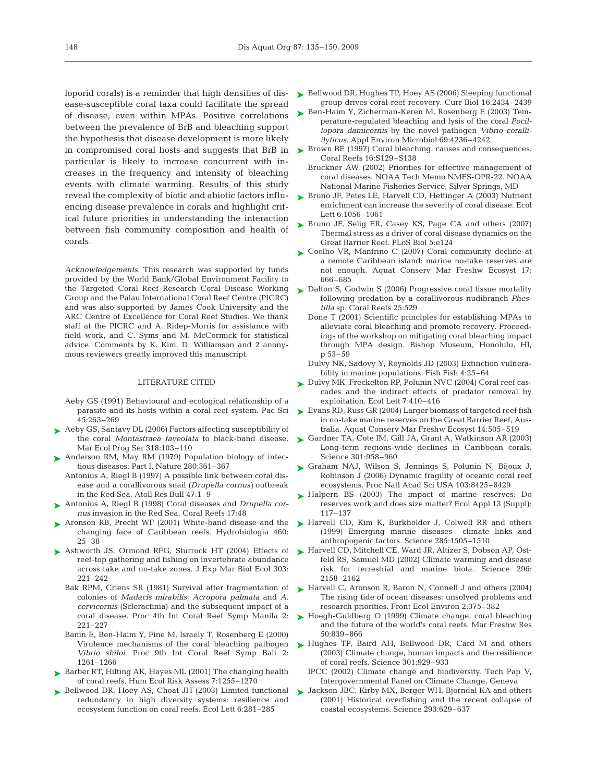loporid corals) is a reminder that high densities of disease-susceptible coral taxa could facilitate the spread of disease, even within MPAs. Positive correlations between the prevalence of BrB and bleaching support the hypothesis that disease development is more likely particular is likely to increase concurrent with increases in the frequency and intensity of bleaching events with climate warming. Results of this study reveal the complexity of biotic and abiotic factors influencing disease prevalence in corals and highlight critical future priorities in understanding the interaction between fish community composition and health of corals.

*Acknowledgements.* This research was supported by funds provided by the World Bank/Global Environment Facility to the Targeted Coral Reef Research Coral Disease Working Group and the Palau International Coral Reef Centre (PICRC) and was also supported by James Cook University and the ARC Centre of Excellence for Coral Reef Studies. We thank staff at the PICRC and A. Ridep-Morris for assistance with field work, and C. Syms and M. McCormick for statistical advice. Comments by K. Kim, D. Williamson and 2 anonymous reviewers greatly improved this manuscript.

### LITERATURE CITED

- Aeby GS (1991) Behavioural and ecological relationship of a parasite and its hosts within a coral reef system. Pac Sci 45:263–269
- ▶ Aeby GS, Santavy DL (2006) Factors affecting susceptibility of the coral *Montastraea faveolata* to black-band disease. Mar Ecol Prog Ser 318:103–110
- ► Anderson RM, May RM (1979) Population biology of infectious diseases: Part I. Nature 280:361–367
	- Antonius A, Riegl B (1997) A possible link between coral disease and a corallivorous snail (*Drupella cornus)* outbreak in the Red Sea. Atoll Res Bull 47:1–9
- Antonius A, Riegl B (1998) Coral diseases and *Drupella cor-*➤ *nus* invasion in the Red Sea. Coral Reefs 17:48
- ▶ Aronson RB, Precht WF (2001) White-band disease and the changing face of Caribbean reefs. Hydrobiologia 460: 25–38
- ▶ Ashworth JS, Ormond RFG, Sturrock HT (2004) Effects of reef-top gathering and fishing on invertebrate abundance across take and no-take zones. J Exp Mar Biol Ecol 303: 221–242
	- Bak RPM, Criens SR (1981) Survival after fragmentation of colonies of *Madacis mirabilis, Acropora palmata* and *A. cervicornis* (Scleractinia) and the subsequent impact of a coral disease. Proc 4th Int Coral Reef Symp Manila 2: 221–227
	- Banin E, Ben-Haim Y, Fine M, Israely T, Rosenberg E (2000) *Vibrio shiloi*. Proc 9th Int Coral Reef Symp Bali 2: 1261–1266
- ► Barber RT, Hilting AK, Hayes ML (2001) The changing health of coral reefs. Hum Ecol Risk Assess 7:1255–1270
- ▶ Bellwood DR, Hoey AS, Choat JH (2003) Limited functional redundancy in high diversity systems: resilience and ecosystem function on coral reefs. Ecol Lett 6:281–285
- ► Bellwood DR, Hughes TP, Hoey AS (2006) Sleeping functional group drives coral-reef recovery. Curr Biol 16:2434–2439
- ► Ben-Haim Y, Zicherman-Keren M, Rosenberg E (2003) Temperature-regulated bleaching and lysis of the coral *Pocillopora damicornis* by the novel pathogen *Vibrio coralliilyticus*. Appl Environ Microbiol 69:4236–4242
- in compromised coral hosts and suggests that BrB in  $\triangleright$  Brown BE (1997) Coral bleaching: causes and consequences. Coral Reefs 16:S129–S138
	- Bruckner AW (2002) Priorities for effective management of coral diseases. NOAA Tech Memo NMFS-OPR-22. NOAA National Marine Fisheries Service, Silver Springs, MD
	- ► Bruno JF, Petes LE, Harvell CD, Hettinger A (2003) Nutrient enrichment can increase the severity of coral disease. Ecol Lett 6:1056–1061
	- ► Bruno JF, Selig ER, Casey KS, Page CA and others (2007) Thermal stress as a driver of coral disease dynamics on the Great Barrier Reef. PLoS Biol 5:e124
	- ► Coelho VR, Manfrino C (2007) Coral community decline at a remote Caribbean island: marine no-take reserves are not enough. Aquat Conserv Mar Freshw Ecosyst 17: 666–685
	- ► Dalton S, Godwin S (2006) Progressive coral tissue mortality following predation by a corallivorous nudibranch *Phestilla* sp. Coral Reefs 25:529
		- Done T (2001) Scientific principles for establishing MPAs to alleviate coral bleaching and promote recovery. Proceedings of the workshop on mitigating coral bleaching impact through MPA design. Bishop Museum, Honolulu, HI, p 53–59
		- Dulvy NK, Sadovy Y, Reynolds JD (2003) Extinction vulnerability in marine populations. Fish Fish 4:25–64
	- ► Dulvy MK, Freckelton RP, Polunin NVC (2004) Coral reef cascades and the indirect effects of predator removal by exploitation. Ecol Lett 7:410–416
	- ► Evans RD, Russ GR (2004) Larger biomass of targeted reef fish in no-take marine reserves on the Great Barrier Reef, Australia. Aquat Conserv Mar Freshw Ecosyst 14:505–519
	- ► Gardner TA, Cote IM, Gill JA, Grant A, Watkinson AR (2003) Long-term regions-wide declines in Caribbean corals. Science 301:958–960
	- ► Graham NAJ, Wilson S, Jennings S, Polunin N, Bijoux J, Robinson J (2006) Dynamic fragility of oceanic coral reef ecosystems. Proc Natl Acad Sci USA 103:8425–8429
	- ▶ Halpern BS (2003) The impact of marine reserves: Do reserves work and does size matter? Ecol Appl 13 (Suppl): 117–137
	- ▶ Harvell CD, Kim K, Burkholder J, Colwell RR and others (1999) Emerging marine diseases — climate links and anthropogenic factors. Science 285:1505–1510
	- ► Harvell CD, Mitchell CE, Ward JR, Altizer S, Dobson AP, Ostfeld RS, Samuel MD (2002) Climate warming and disease risk for terrestrial and marine biota. Science 296: 2158–2162
	- ► Harvell C, Aronson R, Baron N, Connell J and others (2004) The rising tide of ocean diseases: unsolved problems and research priorities. Front Ecol Environ 2:375–382
	- ► Hoegh-Guldberg O (1999) Climate change, coral bleaching and the future of the world's coral reefs. Mar Freshw Res 50:839–866
	- Virulence mechanisms of the coral bleaching pathogen  $\blacktriangleright$  Hughes TP, Baird AH, Bellwood DR, Card M and others (2003) Climate change, human impacts and the resilience of coral reefs. Science 301:929–933
		- IPCC (2002) Climate change and biodiversity. Tech Pap V, Intergovernmental Panel on Climate Change, Geneva
		- Jackson JBC, Kirby MX, Berger WH, Bjorndal KA and others ➤(2001) Historical overfishing and the recent collapse of coastal ecosystems. Science 293:629–637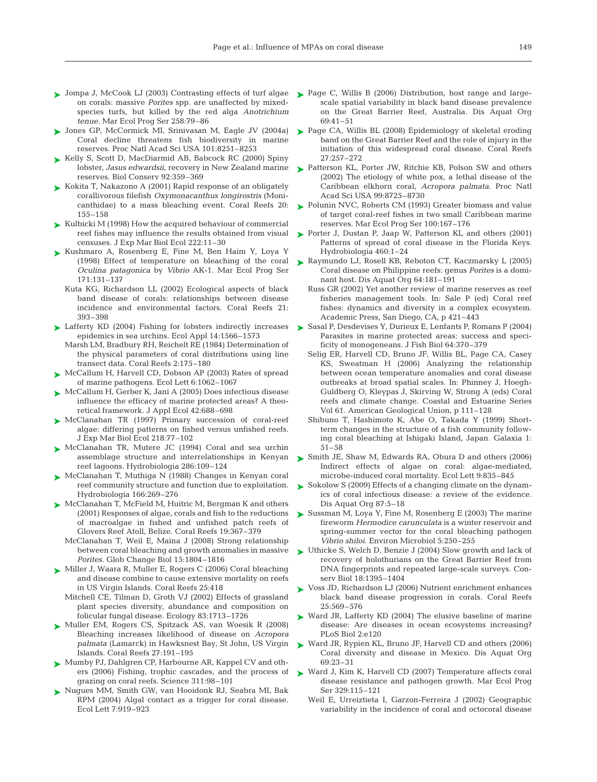- ► Jompa J, McCook LJ (2003) Contrasting effects of turf algae on corals: massive *Porites* spp. are unaffected by mixedspecies turfs, but killed by the red alga *Anotrichium tenue.* Mar Ecol Prog Ser 258:79–86
- ► Jones GP, McCormick MI, Srinivasan M, Eagle JV (2004a) Coral decline threatens fish biodiversity in marine reserves. Proc Natl Acad Sci USA 101:8251–8253
- ► Kelly S, Scott D, MacDiarmid AB, Babcock RC (2000) Spiny lobster, *Jasus edwardsii*, recovery in New Zealand marine reserves. Biol Conserv 92:359–369
- ► Kokita T, Nakazono A (2001) Rapid response of an obligately corallivorous filefish *Oxymonacanthus longirostris* (Monicanthidae) to a mass bleaching event. Coral Reefs 20: 155–158
- ► Kulbicki M (1998) How the acquired behaviour of commercial reef fishes may influence the results obtained from visual censuses. J Exp Mar Biol Ecol 222:11–30
- ► Kushmaro A, Rosenberg E, Fine M, Ben Haim Y, Loya Y (1998) Effect of temperature on bleaching of the coral *Oculina patagonica* by *Vibrio* AK-1. Mar Ecol Prog Ser 171:131–137
	- Kuta KG, Richardson LL (2002) Ecological aspects of black band disease of corals: relationships between disease incidence and environmental factors. Coral Reefs 21: 393–398
- ► Lafferty KD (2004) Fishing for lobsters indirectly increases epidemics in sea urchins. Ecol Appl 14:1566–1573
- Marsh LM, Bradbury RH, Reichelt RE (1984) Determination of the physical parameters of coral distributions using line transect data. Coral Reefs 2:175–180
- ► McCallum H, Harvell CD, Dobson AP (2003) Rates of spread of marine pathogens. Ecol Lett 6:1062–1067
- ► McCallum H, Gerber K, Jani A (2005) Does infectious disease influence the efficacy of marine protected areas? A theoretical framework. J Appl Ecol 42:688–698
- ▶ McClanahan TR (1997) Primary succession of coral-reef algae: differing patterns on fished versus unfished reefs. J Exp Mar Biol Ecol 218:77–102
- ► McClanahan TR, Mutere JC (1994) Coral and sea urchin assemblage structure and interrelationships in Kenyan reef lagoons. Hydrobiologia 286:109–124
- McClanahan T, Muthiga N (1988) Changes in Kenyan coral ➤ reef community structure and function due to exploitation. Hydrobiologia 166:269–276
- ► McClanahan T, McField M, Huitric M, Bergman K and others (2001) Responses of algae, corals and fish to the reductions of macroalgae in fished and unfished patch reefs of Glovers Reef Atoll, Belize. Coral Reefs 19:367–379
	- McClanahan T, Weil E, Maina J (2008) Strong relationship between coral bleaching and growth anomalies in massive *Porites.* Glob Change Biol 15:1804–1816
- ► Miller J, Waara R, Muller E, Rogers C (2006) Coral bleaching and disease combine to cause extensive mortality on reefs in US Virgin Islands. Coral Reefs 25:418
	- Mitchell CE, Tilman D, Groth VJ (2002) Effects of grassland plant species diversity, abundance and composition on folicular fungal disease. Ecology 83:1713–1726
- ► Muller EM, Rogers CS, Spitzack AS, van Woesik R (2008) Bleaching increases likelihood of disease on *Acropora palmata* (Lamarck) in Hawksnest Bay, St John, US Virgin Islands. Coral Reefs 27:191–195
- ► Mumby PJ, Dahlgren CP, Harbourne AR, Kappel CV and others (2006) Fishing, trophic cascades, and the process of grazing on coral reefs. Science 311:98–101
- ▶ Nugues MM, Smith GW, van Hooidonk RJ, Seabra MI, Bak RPM (2004) Algal contact as a trigger for coral disease. Ecol Lett 7:919–923
- ► Page C, Willis B (2006) Distribution, host range and largescale spatial variability in black band disease prevalence on the Great Barrier Reef, Australia. Dis Aquat Org 69:41–51
- ► Page CA, Willis BL (2008) Epidemiology of skeletal eroding band on the Great Barrier Reef and the role of injury in the initiation of this widespread coral disease. Coral Reefs 27:257–272
- ► Patterson KL, Porter JW, Ritchie KB, Polson SW and others (2002) The etiology of white pox, a lethal disease of the Caribbean elkhorn coral, *Acropora palmata.* Proc Natl Acad Sci USA 99:8725–8730
- ► Polunin NVC, Roberts CM (1993) Greater biomass and value of target coral-reef fishes in two small Caribbean marine reserves. Mar Ecol Prog Ser 100:167–176
- ► Porter J, Dustan P, Jaap W, Patterson KL and others (2001) Patterns of spread of coral disease in the Florida Keys. Hydrobiologia 460:1–24
- ► Raymundo LJ, Rosell KB, Reboton CT, Kaczmarsky L (2005) Coral disease on Philippine reefs: genus *Porites* is a dominant host. Dis Aquat Org 64:181–191
	- Russ GR (2002) Yet another review of marine reserves as reef fisheries management tools. In: Sale P (ed) Coral reef fishes: dynamics and diversity in a complex ecosystem. Academic Press, San Diego, CA, p 421–443
- ► Sasal P, Desdevises Y, Durieux E, Lenfants P, Romans P (2004) Parasites in marine protected areas: success and specificity of monogeneans. J Fish Biol 64:370–379
	- Selig ER, Harvell CD, Bruno JF, Willis BL, Page CA, Casey KS, Sweatman H (2006) Analyzing the relationship between ocean temperature anomalies and coral disease outbreaks at broad spatial scales. In: Phinney J, Hoegh-Guldberg O, Kleypas J, Skirving W, Strong A (eds) Coral reefs and climate change. Coastal and Estuarine Series Vol 61. American Geological Union, p 111–128
	- Shibuno T, Hashimoto K, Abe O, Takada Y (1999) Shortterm changes in the structure of a fish community following coral bleaching at Ishigaki Island, Japan. Galaxia 1: 51–58
- ► Smith JE, Shaw M, Edwards RA, Obura D and others (2006) Indirect effects of algae on coral: algae-mediated, microbe-induced coral mortality. Ecol Lett 9:835–845
- ► Sokolow S (2009) Effects of a changing climate on the dynamics of coral infectious disease: a review of the evidence. Dis Aquat Org 87:5–18
- ► Sussman M, Loya Y, Fine M, Rosenberg E (2003) The marine fireworm *Hermodice carunculata* is a winter reservoir and spring-summer vector for the coral bleaching pathogen *Vibrio shiloi.* Environ Microbiol 5:250–255
- ► Uthicke S, Welch D, Benzie J (2004) Slow growth and lack of recovery of holothurians on the Great Barrier Reef from DNA fingerprints and repeated large-scale surveys. Conserv Biol 18:1395–1404
- ► Voss JD, Richardson LJ (2006) Nutrient enrichment enhances black band disease progression in corals. Coral Reefs 25:569–576
- ► Ward JR, Lafferty KD (2004) The elusive baseline of marine disease: Are diseases in ocean ecosystems increasing? PLoS Biol 2:e120
- ► Ward JR, Rypien KL, Bruno JF, Harvell CD and others (2006) Coral diversity and disease in Mexico. Dis Aquat Org 69:23–31
- ► Ward J, Kim K, Harvell CD (2007) Temperature affects coral disease resistance and pathogen growth. Mar Ecol Prog Ser 329:115–121
	- Weil E, Urreiztieta I, Garzon-Ferreira J (2002) Geographic variability in the incidence of coral and octocoral disease